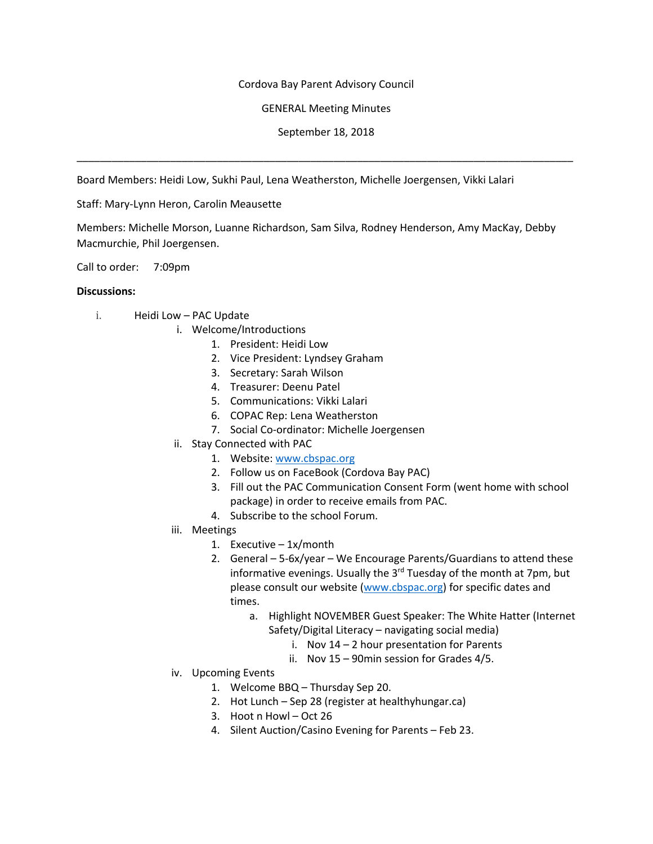## Cordova Bay Parent Advisory Council

## GENERAL Meeting Minutes

September 18, 2018

\_\_\_\_\_\_\_\_\_\_\_\_\_\_\_\_\_\_\_\_\_\_\_\_\_\_\_\_\_\_\_\_\_\_\_\_\_\_\_\_\_\_\_\_\_\_\_\_\_\_\_\_\_\_\_\_\_\_\_\_\_\_\_\_\_\_\_\_\_\_\_\_\_\_\_\_\_\_\_\_\_\_\_\_\_

Board Members: Heidi Low, Sukhi Paul, Lena Weatherston, Michelle Joergensen, Vikki Lalari

## Staff: Mary-Lynn Heron, Carolin Meausette

Members: Michelle Morson, Luanne Richardson, Sam Silva, Rodney Henderson, Amy MacKay, Debby Macmurchie, Phil Joergensen.

Call to order: 7:09pm

#### **Discussions:**

- i. Heidi Low PAC Update
	- i. Welcome/Introductions
		- 1. President: Heidi Low
		- 2. Vice President: Lyndsey Graham
		- 3. Secretary: Sarah Wilson
		- 4. Treasurer: Deenu Patel
		- 5. Communications: Vikki Lalari
		- 6. COPAC Rep: Lena Weatherston
		- 7. Social Co-ordinator: Michelle Joergensen
	- ii. Stay Connected with PAC
		- 1. Website: www.cbspac.org
		- 2. Follow us on FaceBook (Cordova Bay PAC)
		- 3. Fill out the PAC Communication Consent Form (went home with school package) in order to receive emails from PAC.
		- 4. Subscribe to the school Forum.
	- iii. Meetings
		- 1. Executive 1x/month
		- 2. General 5-6x/year We Encourage Parents/Guardians to attend these informative evenings. Usually the 3<sup>rd</sup> Tuesday of the month at 7pm, but please consult our website (www.cbspac.org) for specific dates and times.
			- a. Highlight NOVEMBER Guest Speaker: The White Hatter (Internet Safety/Digital Literacy – navigating social media)
				- i. Nov 14 2 hour presentation for Parents
				- ii. Nov 15 90min session for Grades 4/5.
	- iv. Upcoming Events
		- 1. Welcome BBQ Thursday Sep 20.
		- 2. Hot Lunch Sep 28 (register at healthyhungar.ca)
		- 3. Hoot n Howl Oct 26
		- 4. Silent Auction/Casino Evening for Parents Feb 23.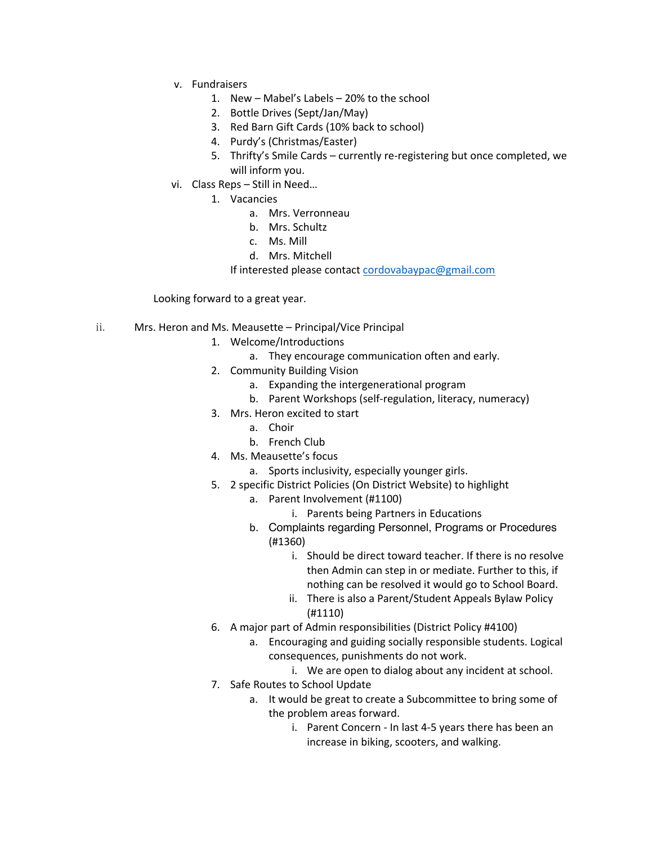- v. Fundraisers
	- 1. New Mabel's Labels 20% to the school
	- 2. Bottle Drives (Sept/Jan/May)
	- 3. Red Barn Gift Cards (10% back to school)
	- 4. Purdy's (Christmas/Easter)
	- 5. Thrifty's Smile Cards currently re-registering but once completed, we will inform you.
- vi. Class Reps Still in Need…
	- 1. Vacancies
		- a. Mrs. Verronneau
		- b. Mrs. Schultz
		- c. Ms. Mill
		- d. Mrs. Mitchell

If interested please contact cordovabaypac@gmail.com

# Looking forward to a great year.

- ii. Mrs. Heron and Ms. Meausette Principal/Vice Principal
	- 1. Welcome/Introductions
		- a. They encourage communication often and early.
	- 2. Community Building Vision
		- a. Expanding the intergenerational program
		- b. Parent Workshops (self-regulation, literacy, numeracy)
	- 3. Mrs. Heron excited to start
		- a. Choir
		- b. French Club
	- 4. Ms. Meausette's focus
		- a. Sports inclusivity, especially younger girls.
	- 5. 2 specific District Policies (On District Website) to highlight
		- a. Parent Involvement (#1100)
			- i. Parents being Partners in Educations
		- b. Complaints regarding Personnel, Programs or Procedures (#1360)
			- i. Should be direct toward teacher. If there is no resolve then Admin can step in or mediate. Further to this, if nothing can be resolved it would go to School Board.
			- ii. There is also a Parent/Student Appeals Bylaw Policy (#1110)
	- 6. A major part of Admin responsibilities (District Policy #4100)
		- a. Encouraging and guiding socially responsible students. Logical consequences, punishments do not work.
			- i. We are open to dialog about any incident at school.
	- 7. Safe Routes to School Update
		- a. It would be great to create a Subcommittee to bring some of the problem areas forward.
			- i. Parent Concern In last 4-5 years there has been an increase in biking, scooters, and walking.